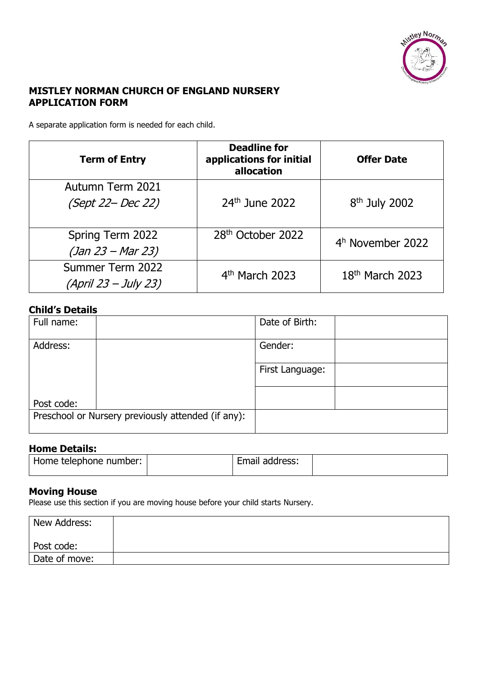

# **MISTLEY NORMAN CHURCH OF ENGLAND NURSERY APPLICATION FORM**

A separate application form is needed for each child.

| <b>Term of Entry</b> | <b>Deadline for</b><br>applications for initial<br>allocation | <b>Offer Date</b>           |
|----------------------|---------------------------------------------------------------|-----------------------------|
| Autumn Term 2021     |                                                               |                             |
| (Sept 22– Dec 22)    | $24th$ June 2022                                              | 8 <sup>th</sup> July 2002   |
| Spring Term 2022     | 28 <sup>th</sup> October 2022                                 | $4h$ November 2022          |
| $(Jan 23 - Mar 23)$  |                                                               |                             |
| Summer Term 2022     | 4 <sup>th</sup> March 2023                                    | 18 <sup>th</sup> March 2023 |
| (April 23 – July 23) |                                                               |                             |

#### **Child's Details**

| Full name: |                                                    | Date of Birth:  |  |
|------------|----------------------------------------------------|-----------------|--|
| Address:   |                                                    | Gender:         |  |
|            |                                                    | First Language: |  |
|            |                                                    |                 |  |
| Post code: |                                                    |                 |  |
|            | Preschool or Nursery previously attended (if any): |                 |  |

### **Home Details:**

| Home telephone number: | Email address: |  |
|------------------------|----------------|--|
|                        |                |  |

## **Moving House**

Please use this section if you are moving house before your child starts Nursery.

| New Address:  |  |
|---------------|--|
| Post code:    |  |
| Date of move: |  |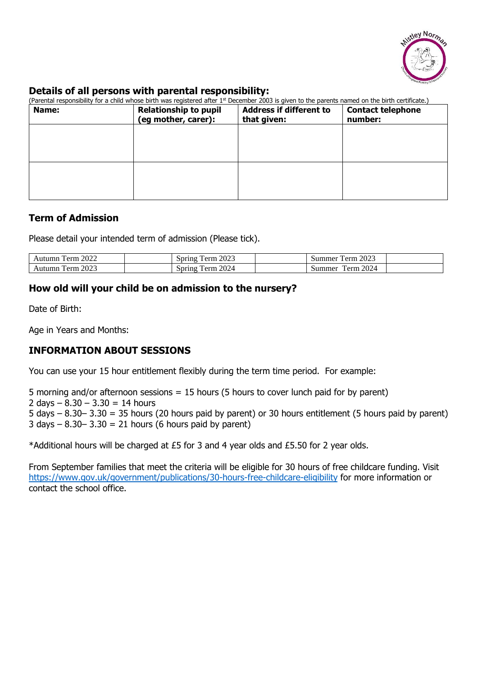

### **Details of all persons with parental responsibility:**

| (Parental responsibility for a child whose birth was registered after 1 <sup>st</sup> December 2003 is given to the parents named on the birth certificate.) |                                                     |                                               |                                     |
|--------------------------------------------------------------------------------------------------------------------------------------------------------------|-----------------------------------------------------|-----------------------------------------------|-------------------------------------|
| Name:                                                                                                                                                        | <b>Relationship to pupil</b><br>(eg mother, carer): | <b>Address if different to</b><br>that given: | <b>Contact telephone</b><br>number: |
|                                                                                                                                                              |                                                     |                                               |                                     |
|                                                                                                                                                              |                                                     |                                               |                                     |
|                                                                                                                                                              |                                                     |                                               |                                     |
|                                                                                                                                                              |                                                     |                                               |                                     |

## **Term of Admission**

Please detail your intended term of admission (Please tick).

| 2022        | 2023                                       | 2023                   |  |
|-------------|--------------------------------------------|------------------------|--|
| Lerm.       | opring                                     | 'erm                   |  |
| Autumn      | erm                                        | Summer                 |  |
| 2023<br>erm | 2024<br>$\Delta$ pring<br>$_{\rm \rho rm}$ | 2024<br>`erm<br>summer |  |

# **How old will your child be on admission to the nursery?**

Date of Birth:

Age in Years and Months:

# **INFORMATION ABOUT SESSIONS**

You can use your 15 hour entitlement flexibly during the term time period. For example:

5 morning and/or afternoon sessions = 15 hours (5 hours to cover lunch paid for by parent) 2 days  $-8.30 - 3.30 = 14$  hours 5 days  $-8.30-3.30 = 35$  hours (20 hours paid by parent) or 30 hours entitlement (5 hours paid by parent)  $3$  days  $-$  8.30 $-$  3.30 = 21 hours (6 hours paid by parent)

\*Additional hours will be charged at £5 for 3 and 4 year olds and £5.50 for 2 year olds.

From September families that meet the criteria will be eligible for 30 hours of free childcare funding. Visit <https://www.gov.uk/government/publications/30-hours-free-childcare-eligibility> for more information or contact the school office.